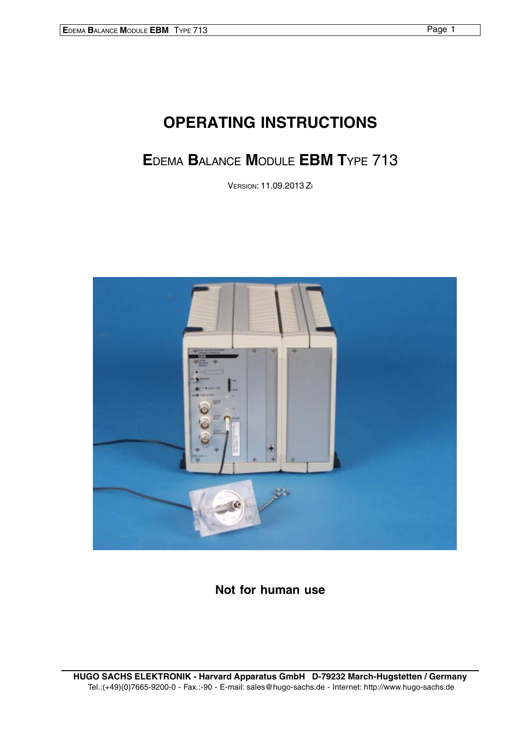# **OPERATING INSTRUCTIONS**

# **E**DEMA **B**ALANCE **M**ODULE **EBM T**YPE 713

VERSION: 11.09.2013 ZI



**Not for human use**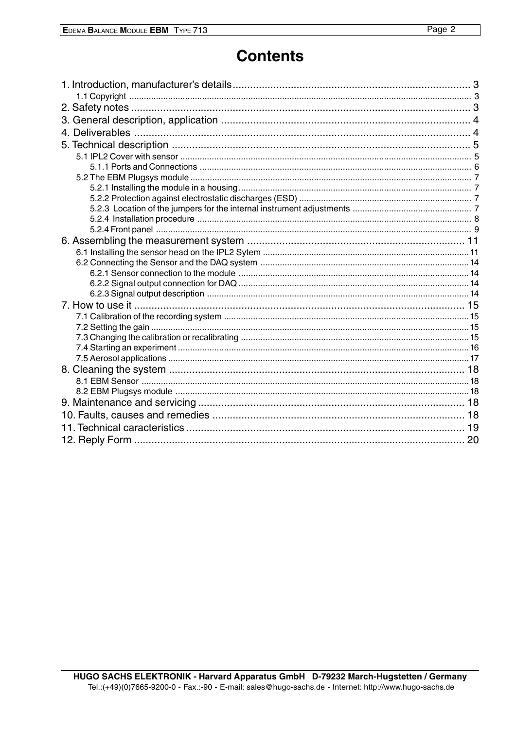# **Contents**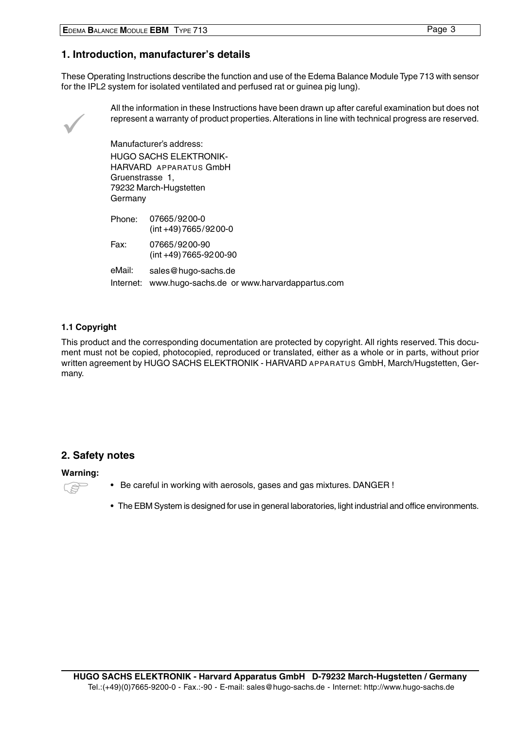# <span id="page-2-0"></span>**1. Introduction, manufacturer's details**

These Operating Instructions describe the function and use of the Edema Balance Module Type 713 with sensor for the IPL2 system for isolated ventilated and perfused rat or guinea pig lung).

 $\checkmark$ 

All the information in these Instructions have been drawn up after careful examination but does not represent a warranty of product properties. Alterations in line with technical progress are reserved.

Manufacturer's address: HUGO SACHS ELEKTRONIK-HARVARD APPARATUS GmbH Gruenstrasse 1, 79232 March-Hugstetten Germany

| Phone: | 07665/9200-0<br>$(int +49) 7665/9200-0$                |
|--------|--------------------------------------------------------|
| Fax:   | 07665/9200-90<br>$(int +49) 7665 - 9200 - 90$          |
| eMail: | sales@hugo-sachs.de                                    |
|        | Internet: www.hugo-sachs.de or www.harvardappartus.com |

# **1.1 Copyright**

This product and the corresponding documentation are protected by copyright. All rights reserved. This document must not be copied, photocopied, reproduced or translated, either as a whole or in parts, without prior written agreement by HUGO SACHS ELEKTRONIK - HARVARD APPARATUS GmbH, March/Hugstetten, Germany.

# **2. Safety notes**

#### **Warning:**

- 
- Be careful in working with aerosols, gases and gas mixtures. DANGER ! )
- The EBM System is designed for use in general laboratories, light industrial and office environments.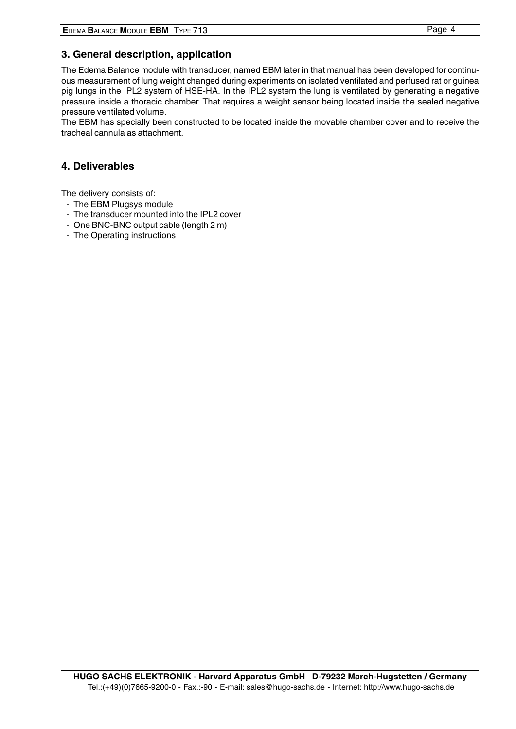# <span id="page-3-0"></span>**3. General description, application**

The Edema Balance module with transducer, named EBM later in that manual has been developed for continuous measurement of lung weight changed during experiments on isolated ventilated and perfused rat or guinea pig lungs in the IPL2 system of HSE-HA. In the IPL2 system the lung is ventilated by generating a negative pressure inside a thoracic chamber. That requires a weight sensor being located inside the sealed negative pressure ventilated volume.

The EBM has specially been constructed to be located inside the movable chamber cover and to receive the tracheal cannula as attachment.

# **4. Deliverables**

The delivery consists of:

- The EBM Plugsys module
- The transducer mounted into the IPL2 cover
- One BNC-BNC output cable (length 2 m)
- The Operating instructions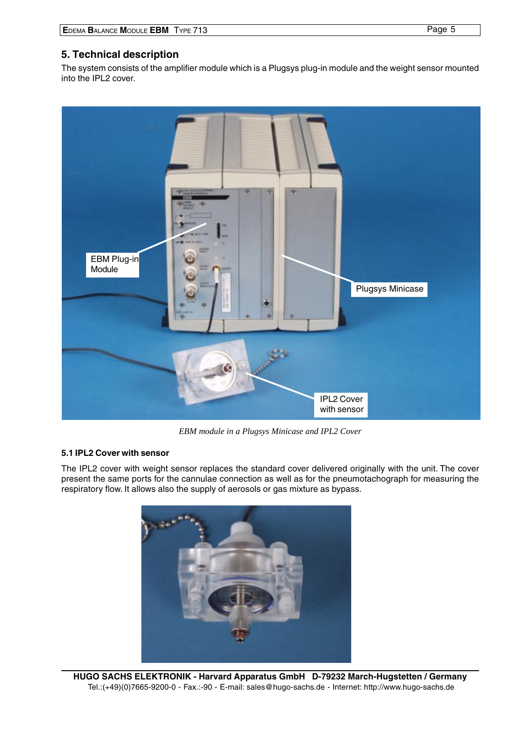<span id="page-4-0"></span>The system consists of the amplifier module which is a Plugsys plug-in module and the weight sensor mounted into the IPL2 cover.



*EBM module in a Plugsys Minicase and IPL2 Cover*

## **5.1 IPL2 Cover with sensor**

The IPL2 cover with weight sensor replaces the standard cover delivered originally with the unit. The cover present the same ports for the cannulae connection as well as for the pneumotachograph for measuring the respiratory flow. It allows also the supply of aerosols or gas mixture as bypass.

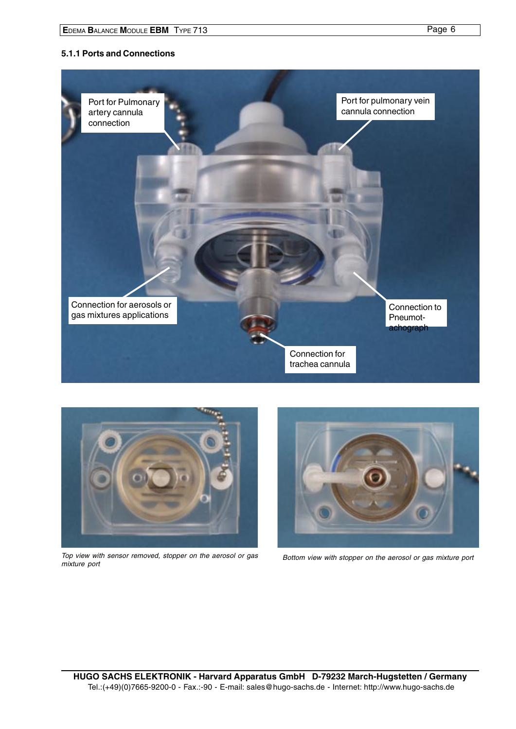## <span id="page-5-0"></span>**5.1.1 Ports and Connections**





Top view with sensor removed, stopper on the aerosol or gas



Bottom view with stopper on the aerosol or gas mixture port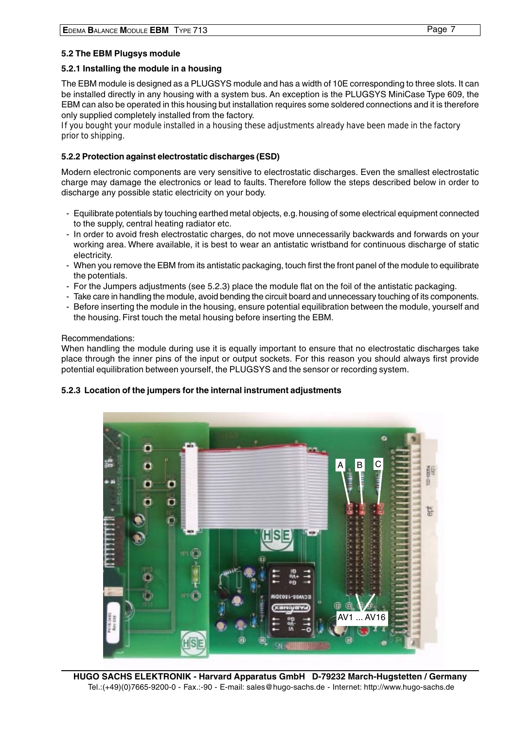## <span id="page-6-0"></span>**5.2 The EBM Plugsys module**

#### **5.2.1 Installing the module in a housing**

The EBM module is designed as a PLUGSYS module and has a width of 10E corresponding to three slots. It can be installed directly in any housing with a system bus. An exception is the PLUGSYS MiniCase Type 609, the EBM can also be operated in this housing but installation requires some soldered connections and it is therefore only supplied completely installed from the factory.

If you bought your module installed in a housing these adjustments already have been made in the factory prior to shipping.

### **5.2.2 Protection against electrostatic discharges (ESD)**

Modern electronic components are very sensitive to electrostatic discharges. Even the smallest electrostatic charge may damage the electronics or lead to faults. Therefore follow the steps described below in order to discharge any possible static electricity on your body.

- Equilibrate potentials by touching earthed metal objects, e.g. housing of some electrical equipment connected to the supply, central heating radiator etc.
- In order to avoid fresh electrostatic charges, do not move unnecessarily backwards and forwards on your working area. Where available, it is best to wear an antistatic wristband for continuous discharge of static electricity.
- When you remove the EBM from its antistatic packaging, touch first the front panel of the module to equilibrate the potentials.
- For the Jumpers adjustments (see 5.2.3) place the module flat on the foil of the antistatic packaging.
- Take care in handling the module, avoid bending the circuit board and unnecessary touching of its components.
- Before inserting the module in the housing, ensure potential equilibration between the module, yourself and the housing. First touch the metal housing before inserting the EBM.

#### Recommendations:

When handling the module during use it is equally important to ensure that no electrostatic discharges take place through the inner pins of the input or output sockets. For this reason you should always first provide potential equilibration between yourself, the PLUGSYS and the sensor or recording system.

#### **5.2.3 Location of the jumpers for the internal instrument adjustments**

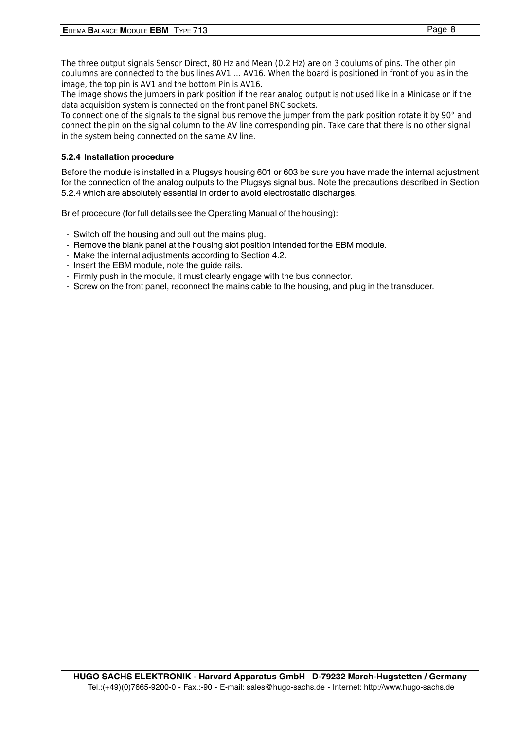<span id="page-7-0"></span>The three output signals Sensor Direct, 80 Hz and Mean (0.2 Hz) are on 3 coulums of pins. The other pin coulumns are connected to the bus lines AV1 ... AV16. When the board is positioned in front of you as in the image, the top pin is AV1 and the bottom Pin is AV16.

The image shows the jumpers in park position if the rear analog output is not used like in a Minicase or if the data acquisition system is connected on the front panel BNC sockets.

To connect one of the signals to the signal bus remove the jumper from the park position rotate it by 90° and connect the pin on the signal column to the AV line corresponding pin. Take care that there is no other signal in the system being connected on the same AV line.

## **5.2.4 Installation procedure**

Before the module is installed in a Plugsys housing 601 or 603 be sure you have made the internal adjustment for the connection of the analog outputs to the Plugsys signal bus. Note the precautions described in Section 5.2.4 which are absolutely essential in order to avoid electrostatic discharges.

Brief procedure (for full details see the Operating Manual of the housing):

- Switch off the housing and pull out the mains plug.
- Remove the blank panel at the housing slot position intended for the EBM module.
- Make the internal adjustments according to Section 4.2.
- Insert the EBM module, note the guide rails.
- Firmly push in the module, it must clearly engage with the bus connector.
- Screw on the front panel, reconnect the mains cable to the housing, and plug in the transducer.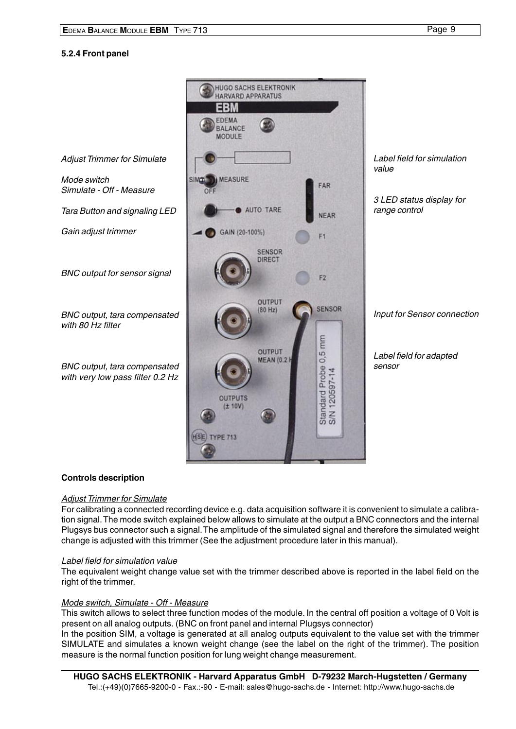### <span id="page-8-0"></span>**5.2.4 Front panel**



#### **Controls description**

#### Adjust Trimmer for Simulate

For calibrating a connected recording device e.g. data acquisition software it is convenient to simulate a calibration signal. The mode switch explained below allows to simulate at the output a BNC connectors and the internal Plugsys bus connector such a signal. The amplitude of the simulated signal and therefore the simulated weight change is adjusted with this trimmer (See the adjustment procedure later in this manual).

#### Label field for simulation value

The equivalent weight change value set with the trimmer described above is reported in the label field on the right of the trimmer.

#### Mode switch, Simulate - Off - Measure

This switch allows to select three function modes of the module. In the central off position a voltage of 0 Volt is present on all analog outputs. (BNC on front panel and internal Plugsys connector)

In the position SIM, a voltage is generated at all analog outputs equivalent to the value set with the trimmer SIMULATE and simulates a known weight change (see the label on the right of the trimmer). The position measure is the normal function position for lung weight change measurement.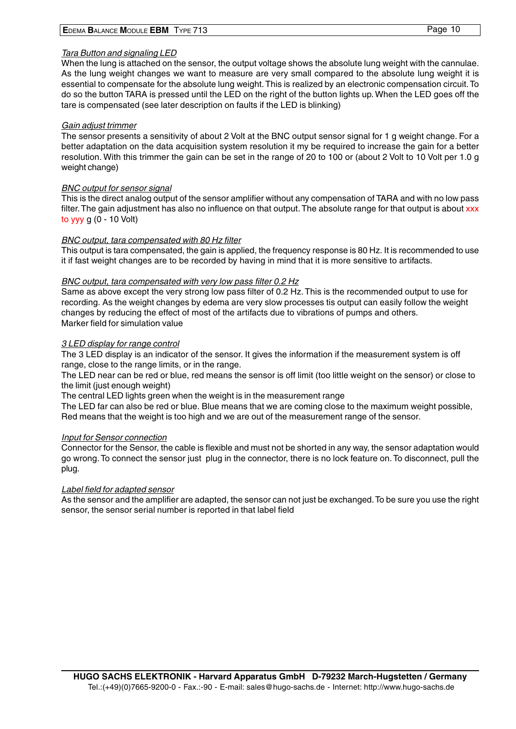## Tara Button and signaling LED

When the lung is attached on the sensor, the output voltage shows the absolute lung weight with the cannulae. As the lung weight changes we want to measure are very small compared to the absolute lung weight it is essential to compensate for the absolute lung weight. This is realized by an electronic compensation circuit. To do so the button TARA is pressed until the LED on the right of the button lights up. When the LED goes off the tare is compensated (see later description on faults if the LED is blinking)

### Gain adiust trimmer

The sensor presents a sensitivity of about 2 Volt at the BNC output sensor signal for 1 g weight change. For a better adaptation on the data acquisition system resolution it my be required to increase the gain for a better resolution. With this trimmer the gain can be set in the range of 20 to 100 or (about 2 Volt to 10 Volt per 1.0 g weight change)

## BNC output for sensor signal

This is the direct analog output of the sensor amplifier without any compensation of TARA and with no low pass filter. The gain adjustment has also no influence on that output. The absolute range for that output is about xxx to yyy g (0 - 10 Volt)

## BNC output, tara compensated with 80 Hz filter

This output is tara compensated, the gain is applied, the frequency response is 80 Hz. It is recommended to use it if fast weight changes are to be recorded by having in mind that it is more sensitive to artifacts.

#### BNC output, tara compensated with very low pass filter 0.2 Hz

Same as above except the very strong low pass filter of 0.2 Hz. This is the recommended output to use for recording. As the weight changes by edema are very slow processes tis output can easily follow the weight changes by reducing the effect of most of the artifacts due to vibrations of pumps and others. Marker field for simulation value

## 3 LED display for range control

The 3 LED display is an indicator of the sensor. It gives the information if the measurement system is off range, close to the range limits, or in the range.

The LED near can be red or blue, red means the sensor is off limit (too little weight on the sensor) or close to the limit (just enough weight)

The central LED lights green when the weight is in the measurement range

The LED far can also be red or blue. Blue means that we are coming close to the maximum weight possible, Red means that the weight is too high and we are out of the measurement range of the sensor.

#### Input for Sensor connection

Connector for the Sensor, the cable is flexible and must not be shorted in any way, the sensor adaptation would go wrong. To connect the sensor just plug in the connector, there is no lock feature on. To disconnect, pull the plug.

#### Label field for adapted sensor

As the sensor and the amplifier are adapted, the sensor can not just be exchanged. To be sure you use the right sensor, the sensor serial number is reported in that label field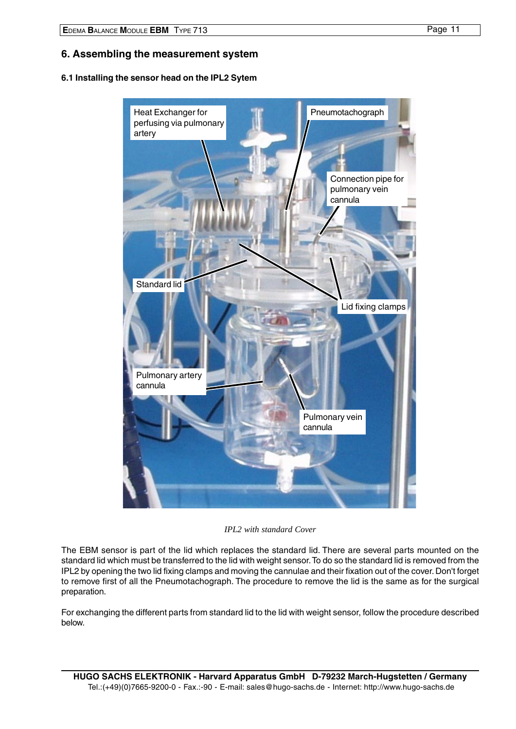# <span id="page-10-0"></span>**6. Assembling the measurement system**

#### **6.1 Installing the sensor head on the IPL2 Sytem**



*IPL2 with standard Cover*

The EBM sensor is part of the lid which replaces the standard lid. There are several parts mounted on the standard lid which must be transferred to the lid with weight sensor. To do so the standard lid is removed from the IPL2 by opening the two lid fixing clamps and moving the cannulae and their fixation out of the cover. Don't forget to remove first of all the Pneumotachograph. The procedure to remove the lid is the same as for the surgical preparation.

For exchanging the different parts from standard lid to the lid with weight sensor, follow the procedure described below.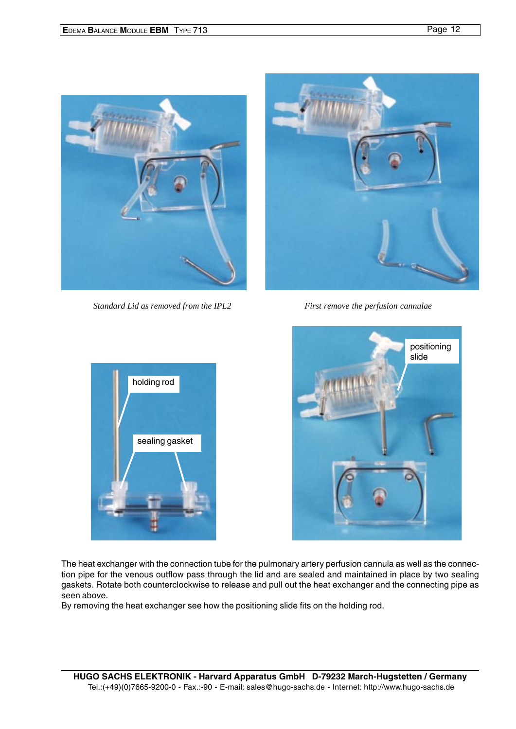

*Standard Lid as removed from the IPL2 First remove the perfusion cannulae*







The heat exchanger with the connection tube for the pulmonary artery perfusion cannula as well as the connection pipe for the venous outflow pass through the lid and are sealed and maintained in place by two sealing gaskets. Rotate both counterclockwise to release and pull out the heat exchanger and the connecting pipe as seen above.

By removing the heat exchanger see how the positioning slide fits on the holding rod.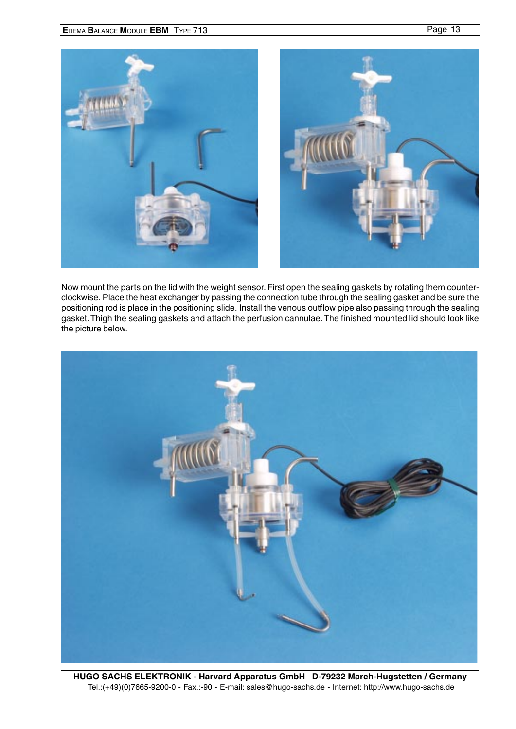

Now mount the parts on the lid with the weight sensor. First open the sealing gaskets by rotating them counterclockwise. Place the heat exchanger by passing the connection tube through the sealing gasket and be sure the positioning rod is place in the positioning slide. Install the venous outflow pipe also passing through the sealing gasket. Thigh the sealing gaskets and attach the perfusion cannulae. The finished mounted lid should look like the picture below.



**HUGO SACHS ELEKTRONIK - Harvard Apparatus GmbH D-79232 March-Hugstetten / Germany** Tel.:(+49)(0)7665-9200-0 - Fax.:-90 - E-mail: sales@hugo-sachs.de - Internet: http://www.hugo-sachs.de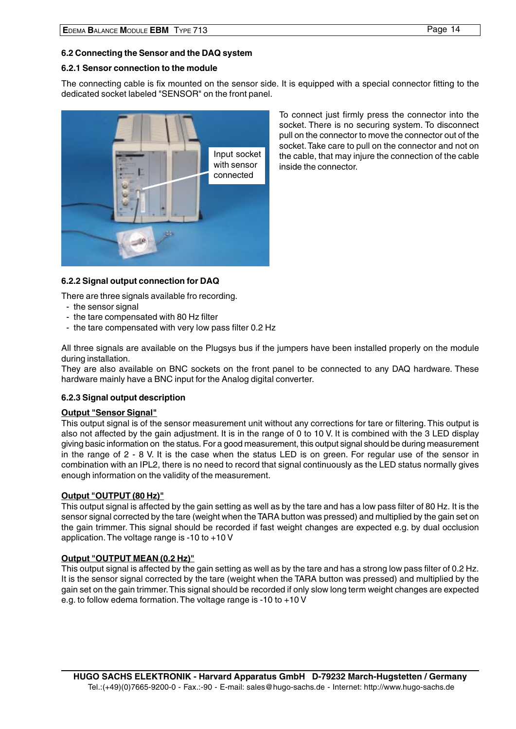#### <span id="page-13-0"></span>**6.2 Connecting the Sensor and the DAQ system**

#### **6.2.1 Sensor connection to the module**

The connecting cable is fix mounted on the sensor side. It is equipped with a special connector fitting to the dedicated socket labeled "SENSOR" on the front panel.



To connect just firmly press the connector into the socket. There is no securing system. To disconnect pull on the connector to move the connector out of the socket. Take care to pull on the connector and not on the cable, that may injure the connection of the cable inside the connector.

#### **6.2.2 Signal output connection for DAQ**

There are three signals available fro recording.

- the sensor signal
- the tare compensated with 80 Hz filter
- the tare compensated with very low pass filter 0.2 Hz

All three signals are available on the Plugsys bus if the jumpers have been installed properly on the module during installation.

They are also available on BNC sockets on the front panel to be connected to any DAQ hardware. These hardware mainly have a BNC input for the Analog digital converter.

#### **6.2.3 Signal output description**

#### **Output "Sensor Signal"**

This output signal is of the sensor measurement unit without any corrections for tare or filtering. This output is also not affected by the gain adjustment. It is in the range of 0 to 10 V. It is combined with the 3 LED display giving basic information on the status. For a good measurement, this output signal should be during measurement in the range of 2 - 8 V. It is the case when the status LED is on green. For regular use of the sensor in combination with an IPL2, there is no need to record that signal continuously as the LED status normally gives enough information on the validity of the measurement.

#### **Output "OUTPUT (80 Hz)"**

This output signal is affected by the gain setting as well as by the tare and has a low pass filter of 80 Hz. It is the sensor signal corrected by the tare (weight when the TARA button was pressed) and multiplied by the gain set on the gain trimmer. This signal should be recorded if fast weight changes are expected e.g. by dual occlusion application. The voltage range is -10 to +10 V

#### **Output "OUTPUT MEAN (0.2 Hz)"**

This output signal is affected by the gain setting as well as by the tare and has a strong low pass filter of 0.2 Hz. It is the sensor signal corrected by the tare (weight when the TARA button was pressed) and multiplied by the gain set on the gain trimmer. This signal should be recorded if only slow long term weight changes are expected e.g. to follow edema formation. The voltage range is -10 to +10 V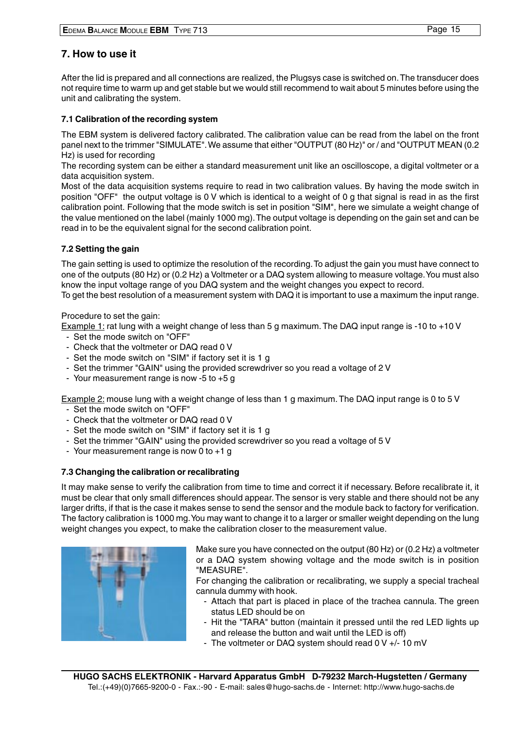<span id="page-14-0"></span>After the lid is prepared and all connections are realized, the Plugsys case is switched on. The transducer does not require time to warm up and get stable but we would still recommend to wait about 5 minutes before using the unit and calibrating the system.

# **7.1 Calibration of the recording system**

The EBM system is delivered factory calibrated. The calibration value can be read from the label on the front panel next to the trimmer "SIMULATE". We assume that either "OUTPUT (80 Hz)" or / and "OUTPUT MEAN (0.2 Hz) is used for recording

The recording system can be either a standard measurement unit like an oscilloscope, a digital voltmeter or a data acquisition system.

Most of the data acquisition systems require to read in two calibration values. By having the mode switch in position "OFF" the output voltage is 0 V which is identical to a weight of 0 g that signal is read in as the first calibration point. Following that the mode switch is set in position "SIM", here we simulate a weight change of the value mentioned on the label (mainly 1000 mg). The output voltage is depending on the gain set and can be read in to be the equivalent signal for the second calibration point.

# **7.2 Setting the gain**

The gain setting is used to optimize the resolution of the recording. To adjust the gain you must have connect to one of the outputs (80 Hz) or (0.2 Hz) a Voltmeter or a DAQ system allowing to measure voltage. You must also know the input voltage range of you DAQ system and the weight changes you expect to record. To get the best resolution of a measurement system with DAQ it is important to use a maximum the input range.

Procedure to set the gain:

Example 1: rat lung with a weight change of less than 5 g maximum. The DAQ input range is -10 to +10 V

- Set the mode switch on "OFF"
- Check that the voltmeter or DAQ read 0 V
- Set the mode switch on "SIM" if factory set it is 1 g
- Set the trimmer "GAIN" using the provided screwdriver so you read a voltage of 2 V
- Your measurement range is now -5 to +5 g

Example 2: mouse lung with a weight change of less than 1 g maximum. The DAQ input range is 0 to 5 V

- Set the mode switch on "OFF"
- Check that the voltmeter or DAQ read 0 V
- Set the mode switch on "SIM" if factory set it is 1 g
- Set the trimmer "GAIN" using the provided screwdriver so you read a voltage of 5 V
- Your measurement range is now 0 to  $+1$  g

## **7.3 Changing the calibration or recalibrating**

It may make sense to verify the calibration from time to time and correct it if necessary. Before recalibrate it, it must be clear that only small differences should appear. The sensor is very stable and there should not be any larger drifts, if that is the case it makes sense to send the sensor and the module back to factory for verification. The factory calibration is 1000 mg. You may want to change it to a larger or smaller weight depending on the lung weight changes you expect, to make the calibration closer to the measurement value.



Make sure you have connected on the output (80 Hz) or (0.2 Hz) a voltmeter or a DAQ system showing voltage and the mode switch is in position "MEASURE".

For changing the calibration or recalibrating, we supply a special tracheal cannula dummy with hook.

- Attach that part is placed in place of the trachea cannula. The green status LED should be on
- Hit the "TARA" button (maintain it pressed until the red LED lights up and release the button and wait until the LED is off)
- The voltmeter or DAQ system should read 0 V +/- 10 mV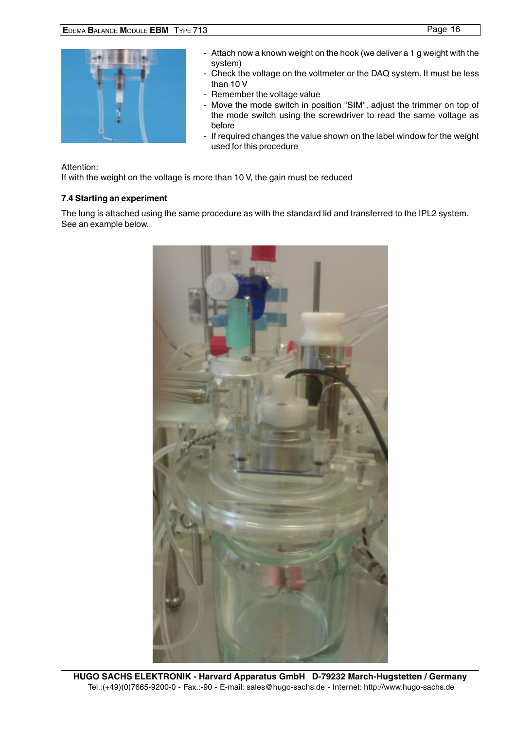<span id="page-15-0"></span>

- Attach now a known weight on the hook (we deliver a 1 g weight with the system)
- Check the voltage on the voltmeter or the DAQ system. It must be less than 10 V
- Remember the voltage value
- Move the mode switch in position "SIM", adjust the trimmer on top of the mode switch using the screwdriver to read the same voltage as before
- If required changes the value shown on the label window for the weight used for this procedure

#### Attention:

If with the weight on the voltage is more than 10 V, the gain must be reduced

## **7.4 Starting an experiment**

The lung is attached using the same procedure as with the standard lid and transferred to the IPL2 system. See an example below.

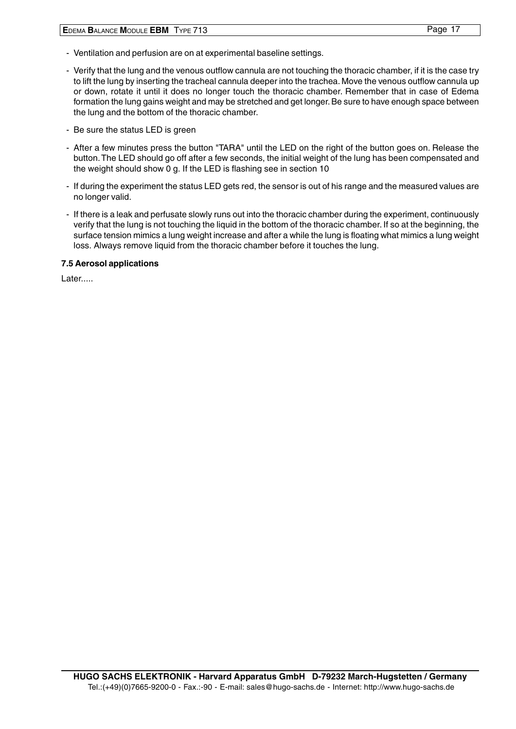- <span id="page-16-0"></span>- Ventilation and perfusion are on at experimental baseline settings.
- Verify that the lung and the venous outflow cannula are not touching the thoracic chamber, if it is the case try to lift the lung by inserting the tracheal cannula deeper into the trachea. Move the venous outflow cannula up or down, rotate it until it does no longer touch the thoracic chamber. Remember that in case of Edema formation the lung gains weight and may be stretched and get longer. Be sure to have enough space between the lung and the bottom of the thoracic chamber.
- Be sure the status LED is green
- After a few minutes press the button "TARA" until the LED on the right of the button goes on. Release the button. The LED should go off after a few seconds, the initial weight of the lung has been compensated and the weight should show 0 g. If the LED is flashing see in section 10
- If during the experiment the status LED gets red, the sensor is out of his range and the measured values are no longer valid.
- If there is a leak and perfusate slowly runs out into the thoracic chamber during the experiment, continuously verify that the lung is not touching the liquid in the bottom of the thoracic chamber. If so at the beginning, the surface tension mimics a lung weight increase and after a while the lung is floating what mimics a lung weight loss. Always remove liquid from the thoracic chamber before it touches the lung.

#### **7.5 Aerosol applications**

Later.....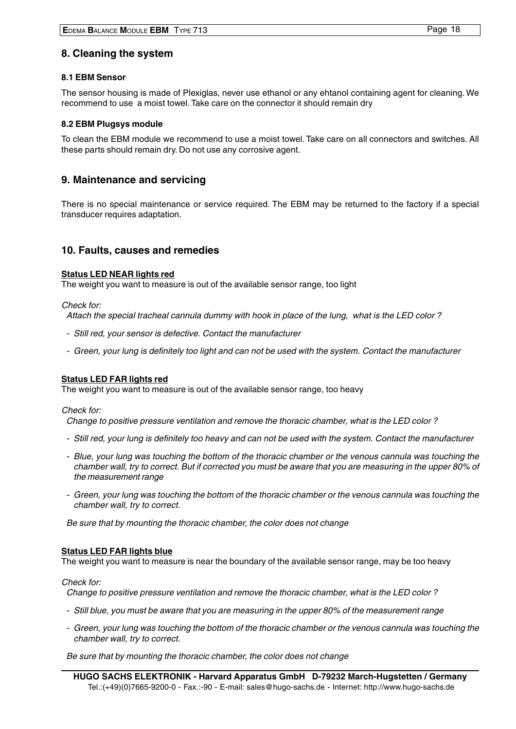# <span id="page-17-0"></span>**8. Cleaning the system**

#### **8.1 EBM Sensor**

The sensor housing is made of Plexiglas, never use ethanol or any ehtanol containing agent for cleaning. We recommend to use a moist towel. Take care on the connector it should remain dry

#### **8.2 EBM Plugsys module**

To clean the EBM module we recommend to use a moist towel. Take care on all connectors and switches. All these parts should remain dry. Do not use any corrosive agent.

## **9. Maintenance and servicing**

There is no special maintenance or service required. The EBM may be returned to the factory if a special transducer requires adaptation.

## **10. Faults, causes and remedies**

#### **Status LED NEAR lights red**

The weight you want to measure is out of the available sensor range, too light

Check for:

Attach the special tracheal cannula dummy with hook in place of the lung, what is the LED color ?

- Still red, your sensor is defective. Contact the manufacturer
- Green, your lung is definitely too light and can not be used with the system. Contact the manufacturer

#### **Status LED FAR lights red**

The weight you want to measure is out of the available sensor range, too heavy

Check for:

Change to positive pressure ventilation and remove the thoracic chamber, what is the LED color ?

- Still red, your lung is definitely too heavy and can not be used with the system. Contact the manufacturer
- Blue, your lung was touching the bottom of the thoracic chamber or the venous cannula was touching the chamber wall, try to correct. But if corrected you must be aware that you are measuring in the upper 80% of the measurement range
- Green, your lung was touching the bottom of the thoracic chamber or the venous cannula was touching the chamber wall, try to correct.

Be sure that by mounting the thoracic chamber, the color does not change

#### **Status LED FAR lights blue**

The weight you want to measure is near the boundary of the available sensor range, may be too heavy

#### Check for:

Change to positive pressure ventilation and remove the thoracic chamber, what is the LED color ?

- Still blue, you must be aware that you are measuring in the upper 80% of the measurement range
- Green, your lung was touching the bottom of the thoracic chamber or the venous cannula was touching the chamber wall, try to correct.

Be sure that by mounting the thoracic chamber, the color does not change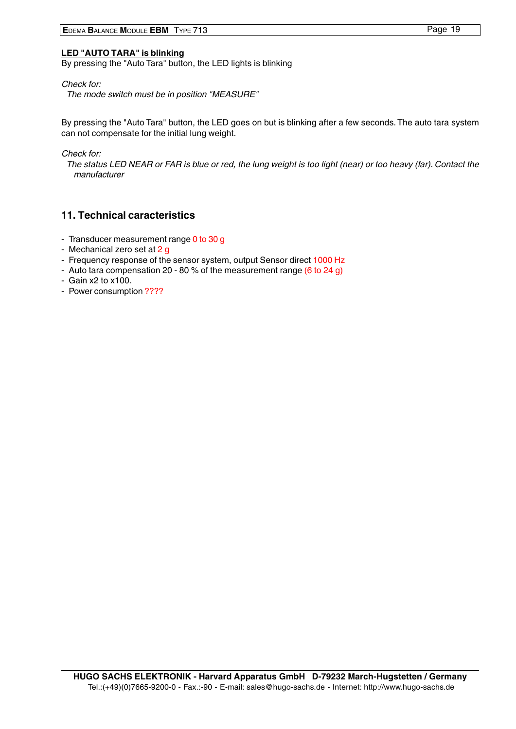#### <span id="page-18-0"></span>**LED "AUTO TARA" is blinking**

By pressing the "Auto Tara" button, the LED lights is blinking

Check for:

The mode switch must be in position "MEASURE"

By pressing the "Auto Tara" button, the LED goes on but is blinking after a few seconds. The auto tara system can not compensate for the initial lung weight.

Check for:

The status LED NEAR or FAR is blue or red, the lung weight is too light (near) or too heavy (far). Contact the manufacturer

# **11. Technical caracteristics**

- Transducer measurement range 0 to 30 g
- Mechanical zero set at 2 g
- Frequency response of the sensor system, output Sensor direct 1000 Hz
- Auto tara compensation 20 80 % of the measurement range (6 to 24 g)
- Gain x2 to x100.
- Power consumption ????